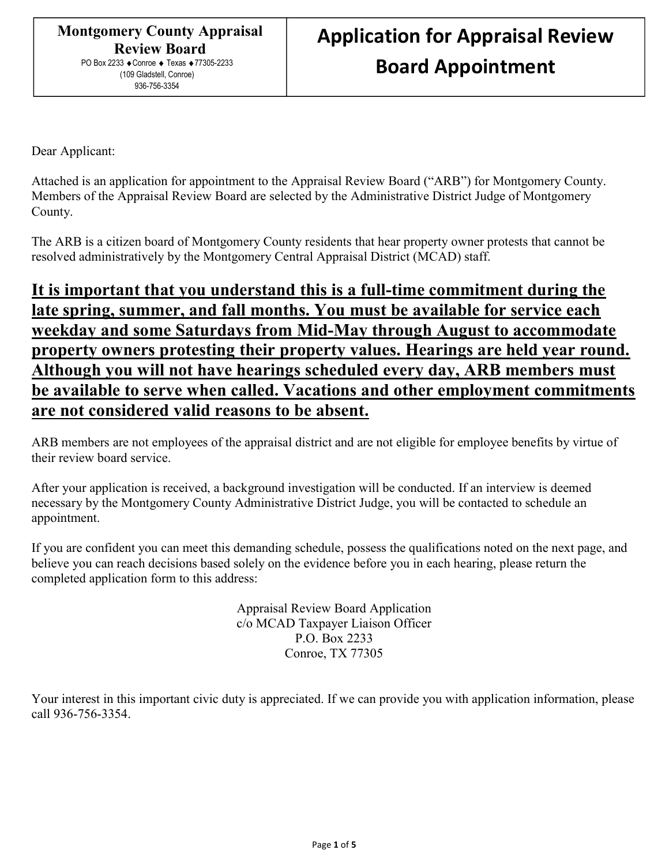Dear Applicant:

Attached is an application for appointment to the Appraisal Review Board ("ARB") for Montgomery County. Members of the Appraisal Review Board are selected by the Administrative District Judge of Montgomery County.

The ARB is a citizen board of Montgomery County residents that hear property owner protests that cannot be resolved administratively by the Montgomery Central Appraisal District (MCAD) staff.

## It is important that you understand this is a full-time commitment during the late spring, summer, and fall months. You must be available for service each weekday and some Saturdays from Mid-May through August to accommodate property owners protesting their property values. Hearings are held year round. Although you will not have hearings scheduled every day, ARB members must be available to serve when called. Vacations and other employment commitments are not considered valid reasons to be absent.

ARB members are not employees of the appraisal district and are not eligible for employee benefits by virtue of their review board service.

After your application is received, a background investigation will be conducted. If an interview is deemed necessary by the Montgomery County Administrative District Judge, you will be contacted to schedule an appointment.

If you are confident you can meet this demanding schedule, possess the qualifications noted on the next page, and believe you can reach decisions based solely on the evidence before you in each hearing, please return the completed application form to this address:

> Appraisal Review Board Application c/o MCAD Taxpayer Liaison Officer P.O. Box 2233 Conroe, TX 77305

Your interest in this important civic duty is appreciated. If we can provide you with application information, please call 936-756-3354.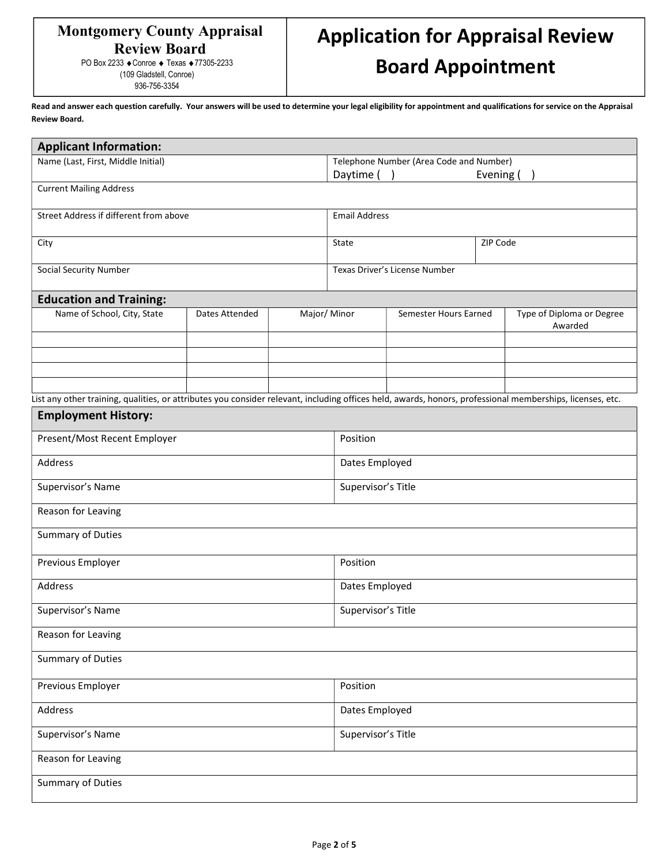### Montgomery County Appraisal Review Board PO Box 2233 ◆ Conroe ◆ Texas ◆ 77305-2233

(109 Gladstell, Conroe) 936-756-3354

# Application for Appraisal Review Board Appointment

Read and answer each question carefully. Your answers will be used to determine your legal eligibility for appointment and qualifications for service on the Appraisal Review Board.

| <b>Applicant Information:</b>                                                                                                                             |                |             |                                         |                       |  |                                      |  |  |  |
|-----------------------------------------------------------------------------------------------------------------------------------------------------------|----------------|-------------|-----------------------------------------|-----------------------|--|--------------------------------------|--|--|--|
| Name (Last, First, Middle Initial)                                                                                                                        |                |             | Telephone Number (Area Code and Number) |                       |  |                                      |  |  |  |
|                                                                                                                                                           |                |             | Daytime ()                              | Evening (             |  |                                      |  |  |  |
| <b>Current Mailing Address</b>                                                                                                                            |                |             |                                         |                       |  |                                      |  |  |  |
| Street Address if different from above                                                                                                                    |                |             | <b>Email Address</b>                    |                       |  |                                      |  |  |  |
| City                                                                                                                                                      |                |             | State                                   | ZIP Code              |  |                                      |  |  |  |
| Social Security Number                                                                                                                                    |                |             | Texas Driver's License Number           |                       |  |                                      |  |  |  |
| <b>Education and Training:</b>                                                                                                                            |                |             |                                         |                       |  |                                      |  |  |  |
| Name of School, City, State                                                                                                                               | Dates Attended | Major/Minor |                                         | Semester Hours Earned |  | Type of Diploma or Degree<br>Awarded |  |  |  |
|                                                                                                                                                           |                |             |                                         |                       |  |                                      |  |  |  |
|                                                                                                                                                           |                |             |                                         |                       |  |                                      |  |  |  |
|                                                                                                                                                           |                |             |                                         |                       |  |                                      |  |  |  |
| List any other training, qualities, or attributes you consider relevant, including offices held, awards, honors, professional memberships, licenses, etc. |                |             |                                         |                       |  |                                      |  |  |  |
| <b>Employment History:</b>                                                                                                                                |                |             |                                         |                       |  |                                      |  |  |  |
| Present/Most Recent Employer                                                                                                                              |                |             | Position                                |                       |  |                                      |  |  |  |
| Address                                                                                                                                                   |                |             | Dates Employed                          |                       |  |                                      |  |  |  |
| Supervisor's Name                                                                                                                                         |                |             | Supervisor's Title                      |                       |  |                                      |  |  |  |
| Reason for Leaving                                                                                                                                        |                |             |                                         |                       |  |                                      |  |  |  |
| Summary of Duties                                                                                                                                         |                |             |                                         |                       |  |                                      |  |  |  |
| Previous Employer                                                                                                                                         |                |             | Position                                |                       |  |                                      |  |  |  |
| Address                                                                                                                                                   |                |             | Dates Employed                          |                       |  |                                      |  |  |  |
| Supervisor's Name                                                                                                                                         |                |             | Supervisor's Title                      |                       |  |                                      |  |  |  |
| Reason for Leaving                                                                                                                                        |                |             |                                         |                       |  |                                      |  |  |  |
| <b>Summary of Duties</b>                                                                                                                                  |                |             |                                         |                       |  |                                      |  |  |  |
| Previous Employer                                                                                                                                         |                |             | Position                                |                       |  |                                      |  |  |  |
| Address                                                                                                                                                   |                |             | Dates Employed                          |                       |  |                                      |  |  |  |
| Supervisor's Name                                                                                                                                         |                |             | Supervisor's Title                      |                       |  |                                      |  |  |  |
| Reason for Leaving                                                                                                                                        |                |             |                                         |                       |  |                                      |  |  |  |
| <b>Summary of Duties</b>                                                                                                                                  |                |             |                                         |                       |  |                                      |  |  |  |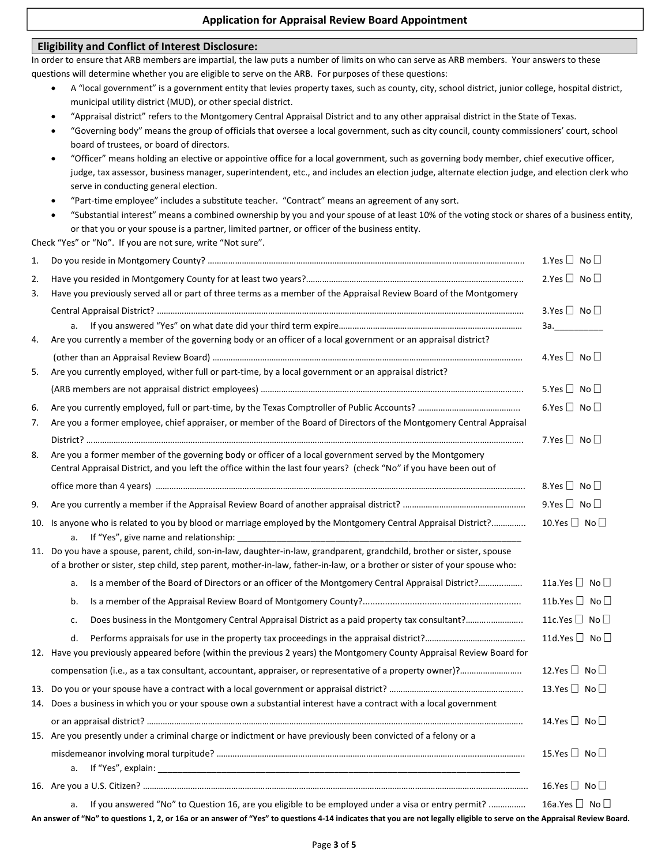#### Application for Appraisal Review Board Appointment

## Eligibility and Conflict of Interest Disclosure: In order to ensure that ARB members are impartial, the law puts a number of limits on who can serve as ARB members. Your answers to these questions will determine whether you are eligible to serve on the ARB. For purposes of these questions: A "local government" is a government entity that levies property taxes, such as county, city, school district, junior college, hospital district, municipal utility district (MUD), or other special district. "Appraisal district" refers to the Montgomery Central Appraisal District and to any other appraisal district in the State of Texas. "Governing body" means the group of officials that oversee a local government, such as city council, county commissioners' court, school board of trustees, or board of directors. "Officer" means holding an elective or appointive office for a local government, such as governing body member, chief executive officer, judge, tax assessor, business manager, superintendent, etc., and includes an election judge, alternate election judge, and election clerk who serve in conducting general election. "Part-time employee" includes a substitute teacher. "Contract" means an agreement of any sort. "Substantial interest" means a combined ownership by you and your spouse of at least 10% of the voting stock or shares of a business entity, or that you or your spouse is a partner, limited partner, or officer of the business entity. Check "Yes" or "No". If you are not sure, write "Not sure". 1. Do you reside in Montgomery County? ………………………………………………………………………………………………………………………….. 1.Yes No 2. Have you resided in Montgomery County for at least two years?.………………………………………………………………………………….. 2.Yes No 3. Have you previously served all or part of three terms as a member of the Appraisal Review Board of the Montgomery Central Appraisal District? ………………….………………………………………………………………………………………………………………………….. 3.Yes No a. If you answered "Yes" on what date did your third term expire……………………………………………………………………… 3a.\_\_\_\_\_\_\_\_\_\_ 4. Are you currently a member of the governing body or an officer of a local government or an appraisal district? (other than an Appraisal Review Board) ……………………………………………………………………………………………………………………….. 4.Yes No 5. Are you currently employed, wither full or part-time, by a local government or an appraisal district? (ARB members are not appraisal district employees) …………………………………………………………………………………………………….. 5.Yes No 6. Are you currently employed, full or part-time, by the Texas Comptroller of Public Accounts? ……………………………………... 6.Yes No 7. Are you a former employee, chief appraiser, or member of the Board of Directors of the Montgomery Central Appraisal District? ……………………………………………………………………………………………………………………………………………………………..………….. 7.Yes No 8. Are you a former member of the governing body or officer of a local government served by the Montgomery Central Appraisal District, and you left the office within the last four years? (check "No" if you have been out of office more than 4 years) …………………..………………………………………………………………………………………………………………………….. 8.Yes No 9. Are you currently a member if the Appraisal Review Board of another appraisal district? .…………………………………………….. 9.Yes No 10. Is anyone who is related to you by blood or marriage employed by the Montgomery Central Appraisal District?................ 10.Yes  $\Box$  No  $\Box$ a. If "Yes", give name and relationship: 11. Do you have a spouse, parent, child, son-in-law, daughter-in-law, grandparent, grandchild, brother or sister, spouse of a brother or sister, step child, step parent, mother-in-law, father-in-law, or a brother or sister of your spouse who: a. Is a member of the Board of Directors or an officer of the Montgomery Central Appraisal District?……………….. 11a.Yes  $\Box$  No  $\Box$ b. Is a member of the Appraisal Review Board of Montgomery County?................................................................ 11b.Yes No c. Does business in the Montgomery Central Appraisal District as a paid property tax consultant?………..………….. 11c.Yes No d. Performs appraisals for use in the property tax proceedings in the appraisal district?…………………………………….. 11d.Yes No 12. Have you previously appeared before (within the previous 2 years) the Montgomery County Appraisal Review Board for compensation (i.e., as a tax consultant, accountant, appraiser, or representative of a property owner)?….………………….. 12.Yes No 13. Do you or your spouse have a contract with a local government or appraisal district? ………………………………………………….. 13.Yes No 14. Does a business in which you or your spouse own a substantial interest have a contract with a local government or an appraisal district? …………………………………………………………………………………………………..…………………………………………….. 14.Yes No 15. Are you presently under a criminal charge or indictment or have previously been convicted of a felony or a misdemeanor involving moral turpitude? ……………………………………………………………………………………………………..……………….. 15.Yes No a. If "Yes", explain: 16. Are you a U.S. Citizen? …………………………………………………………………………………...……………………………………………………………….. 16.Yes No a. If you answered "No" to Question 16, are you eligible to be employed under a visa or entry permit? ................ 16a.Yes  $\Box$  No  $\Box$

An answer of "No" to questions 1, 2, or 16a or an answer of "Yes" to questions 4-14 indicates that you are not legally eligible to serve on the Appraisal Review Board.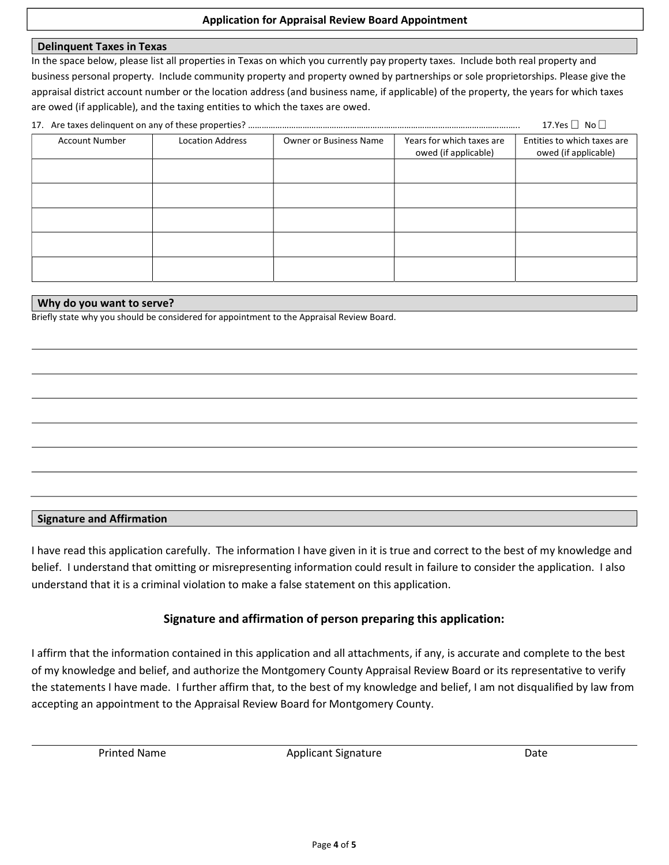#### Application for Appraisal Review Board Appointment

#### Delinquent Taxes in Texas

In the space below, please list all properties in Texas on which you currently pay property taxes. Include both real property and business personal property. Include community property and property owned by partnerships or sole proprietorships. Please give the appraisal district account number or the location address (and business name, if applicable) of the property, the years for which taxes are owed (if applicable), and the taxing entities to which the taxes are owed.

| 17.Yes $\Box$ No $\Box$ |                         |                               |                                                   |                                                     |  |  |  |
|-------------------------|-------------------------|-------------------------------|---------------------------------------------------|-----------------------------------------------------|--|--|--|
| <b>Account Number</b>   | <b>Location Address</b> | <b>Owner or Business Name</b> | Years for which taxes are<br>owed (if applicable) | Entities to which taxes are<br>owed (if applicable) |  |  |  |
|                         |                         |                               |                                                   |                                                     |  |  |  |
|                         |                         |                               |                                                   |                                                     |  |  |  |
|                         |                         |                               |                                                   |                                                     |  |  |  |
|                         |                         |                               |                                                   |                                                     |  |  |  |
|                         |                         |                               |                                                   |                                                     |  |  |  |

#### Why do you want to serve?

Briefly state why you should be considered for appointment to the Appraisal Review Board.

#### Signature and Affirmation

I have read this application carefully. The information I have given in it is true and correct to the best of my knowledge and belief. I understand that omitting or misrepresenting information could result in failure to consider the application. I also understand that it is a criminal violation to make a false statement on this application.

#### Signature and affirmation of person preparing this application:

I affirm that the information contained in this application and all attachments, if any, is accurate and complete to the best of my knowledge and belief, and authorize the Montgomery County Appraisal Review Board or its representative to verify the statements I have made. I further affirm that, to the best of my knowledge and belief, I am not disqualified by law from accepting an appointment to the Appraisal Review Board for Montgomery County.

Printed Name **Applicant Signature Applicant Signature Container and Applicant Signature Date**